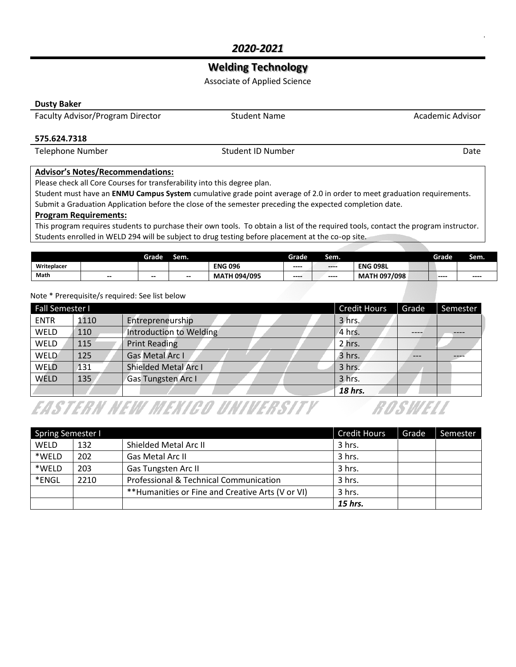## **Welding Technology**

Associate of Applied Science

#### **Dusty Baker**

Faculty Advisor/Program Director **Student Name** Student Name Academic Advisor

#### **575.624.7318**

Telephone Number Date Communication of the Student ID Number Date Date Date Date

#### **Advisor's Notes/Recommendations:**

Please check all Core Courses for transferability into this degree plan.

Student must have an **ENMU Campus System** cumulative grade point average of 2.0 in order to meet graduation requirements. Submit a Graduation Application before the close of the semester preceding the expected completion date.

#### **Program Requirements:**

This program requires students to purchase their own tools. To obtain a list of the required tools, contact the program instructor. Students enrolled in WELD 294 will be subject to drug testing before placement at the co-op site.

|             |     | Grade | Sem.  |                     | Grade  | Sem.     |                     | Grade  | Sem.  |
|-------------|-----|-------|-------|---------------------|--------|----------|---------------------|--------|-------|
| Writeplacer |     |       |       | <b>ENG 096</b>      | $-- -$ | $\cdots$ | <b>ENG 098L</b>     |        |       |
| Math        | $-$ | $-$   | $- -$ | <b>MATH 094/095</b> | $-- -$ | $---$    | <b>MATH 097/098</b> | $-- -$ | $---$ |

#### Note \* Prerequisite/s required: See list below

| <b>Fall Semester I</b> |      |                             | <b>Credit Hours</b> | Grade | Semester |
|------------------------|------|-----------------------------|---------------------|-------|----------|
| <b>ENTR</b>            | 1110 | Entrepreneurship            | 3 hrs.              |       |          |
| WELD                   | 110  | Introduction to Welding     | 4 hrs.              |       |          |
| WELD                   | 115  | <b>Print Reading</b>        | 2 hrs.              |       |          |
| <b>WELD</b>            | 125  | Gas Metal Arc I             | 3 hrs.              | ---   |          |
| WELD                   | 131  | <b>Shielded Metal Arc I</b> | 3 hrs.              |       |          |
| <b>WELD</b>            | 135  | Gas Tungsten Arc I          | 3 hrs.              |       |          |
|                        |      |                             | 18 hrs.             |       |          |

# **EASTERN NEW MEXICO UNIVERSITY**

| <b>Spring Semester I</b> |      |                                                   | <b>Credit Hours</b> | Grade | Semester |
|--------------------------|------|---------------------------------------------------|---------------------|-------|----------|
| WELD                     | 132  | Shielded Metal Arc II                             | 3 hrs.              |       |          |
| *WELD                    | 202  | Gas Metal Arc II                                  | 3 hrs.              |       |          |
| *WELD                    | 203  | Gas Tungsten Arc II                               | 3 hrs.              |       |          |
| *ENGL                    | 2210 | Professional & Technical Communication            | 3 hrs.              |       |          |
|                          |      | ** Humanities or Fine and Creative Arts (V or VI) | 3 hrs.              |       |          |
|                          |      |                                                   | 15 hrs.             |       |          |

ROSWELL

.